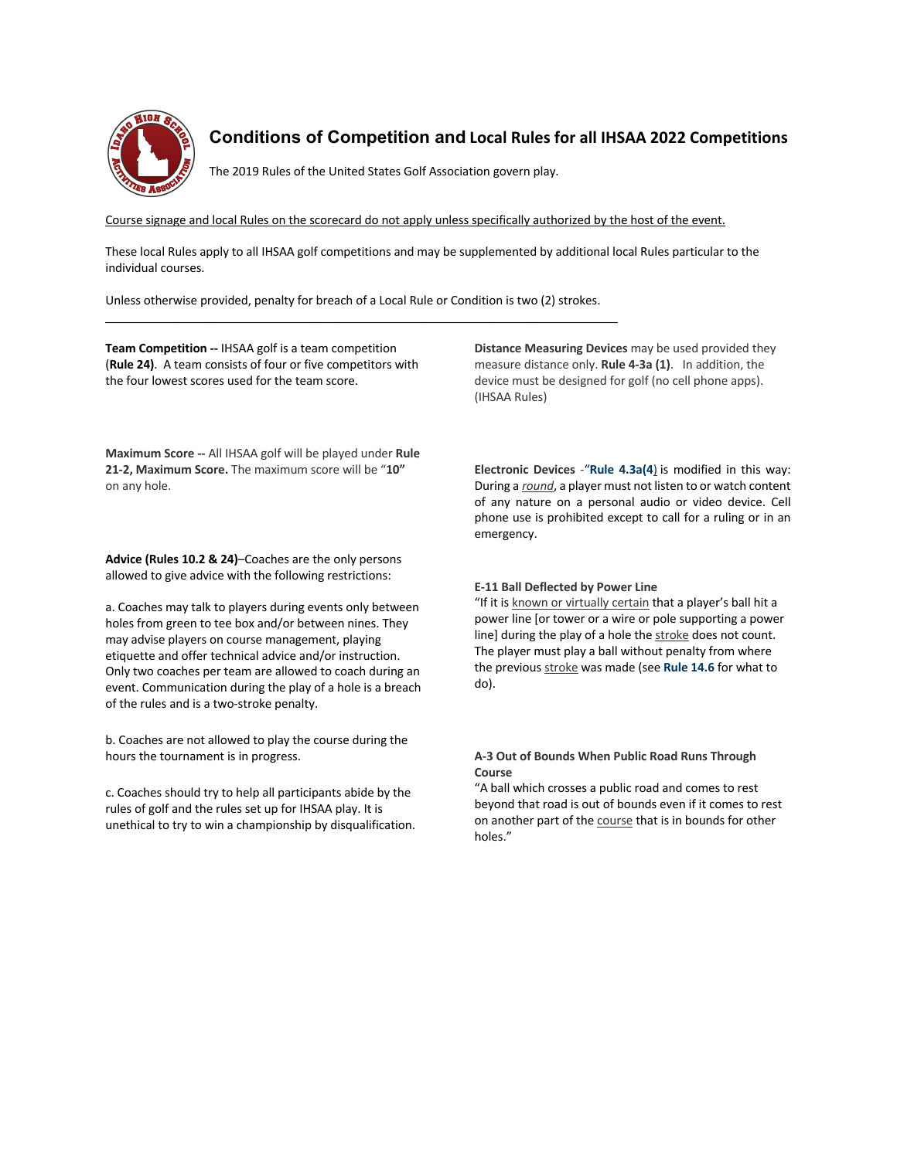

## **Conditions of Competition and Local Rules for all IHSAA 2022 Competitions**

The 2019 Rules of the United States Golf Association govern play.

Course signage and local Rules on the scorecard do not apply unless specifically authorized by the host of the event.

These local Rules apply to all IHSAA golf competitions and may be supplemented by additional local Rules particular to the individual courses.

Unless otherwise provided, penalty for breach of a Local Rule or Condition is two (2) strokes.  $\mathcal{L}_\mathcal{L} = \{ \mathcal{L}_\mathcal{L} = \{ \mathcal{L}_\mathcal{L} = \{ \mathcal{L}_\mathcal{L} = \{ \mathcal{L}_\mathcal{L} = \{ \mathcal{L}_\mathcal{L} = \{ \mathcal{L}_\mathcal{L} = \{ \mathcal{L}_\mathcal{L} = \{ \mathcal{L}_\mathcal{L} = \{ \mathcal{L}_\mathcal{L} = \{ \mathcal{L}_\mathcal{L} = \{ \mathcal{L}_\mathcal{L} = \{ \mathcal{L}_\mathcal{L} = \{ \mathcal{L}_\mathcal{L} = \{ \mathcal{L}_\mathcal{$ 

**Team Competition --** IHSAA golf is a team competition (**Rule 24)**. A team consists of four or five competitors with the four lowest scores used for the team score.

**Maximum Score --** All IHSAA golf will be played under **Rule 21-2, Maximum Score.** The maximum score will be "**10"** on any hole.

**Advice (Rules 10.2 & 24)**–Coaches are the only persons allowed to give advice with the following restrictions:

a. Coaches may talk to players during events only between holes from green to tee box and/or between nines. They may advise players on course management, playing etiquette and offer technical advice and/or instruction. Only two coaches per team are allowed to coach during an event. Communication during the play of a hole is a breach of the rules and is a two-stroke penalty.

b. Coaches are not allowed to play the course during the hours the tournament is in progress.

c. Coaches should try to help all participants abide by the rules of golf and the rules set up for IHSAA play. It is unethical to try to win a championship by disqualification. **Distance Measuring Devices** may be used provided they measure distance only. **Rule 4-3a (1)**. In addition, the device must be designed for golf (no cell phone apps). (IHSAA Rules)

**Electronic Devices** -"**Rule 4.3a(4**) is modified in this way: During a *round*, a player must not listen to or watch content of any nature on a personal audio or video device. Cell phone use is prohibited except to call for a ruling or in an emergency.

## **E-11 Ball Deflected by Power Line**

"If it is known or virtually certain that a player's ball hit a power line [or tower or a wire or pole supporting a power line] during the play of a hole the stroke does not count. The player must play a ball without penalty from where the previous stroke was made (see **Rule 14.6** for what to do).

## **A-3 Out of Bounds When Public Road Runs Through Course**

"A ball which crosses a public road and comes to rest beyond that road is out of bounds even if it comes to rest on another part of the course that is in bounds for other holes."